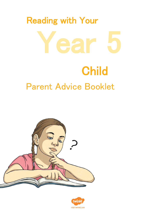



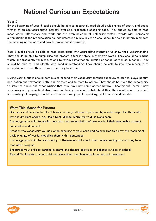## National Curriculum Expectations

#### Year 5

By the beginning of year 5, pupils should be able to accurately read aloud a wide range of poetry and books written at an age-appropriate interest level at a reasonable speaking pace. They should be able to read most words effortlessly and work out the pronunciation of unfamiliar written words with increasing automaticity. If the pronunciation sounds unfamiliar, pupils in year 5 should ask for help in determining both the meaning of the word and how to pronounce it correctly.

Year 5 pupils should be able to read texts aloud with appropriate intonation to show their understanding. They should be able to summarise and present a familiar story in their own words. They should be reading widely and frequently for pleasure and to retrieve information, outside of school as well as in school. They should be able to read silently with good understanding. They should be able to infer the meanings of unfamiliar words and then discuss what they have read.

During year 5, pupils should continue to expand their vocabulary through exposure to stories, plays, poetry, non-fiction and textbooks, both read by them and to them by others. They should be given the opportunity to listen to books and other writing that they have not come across before – hearing and learning new vocabulary and grammatical structures, and having a chance to talk about this. Their confidence, enjoyment and mastery of language should be extended through public speaking, performance and debate.

### What This Means for Parents

Give your child access to lots of books on many different topics and by a wide range of authors who write in different styles, e.g. Roald Dahl, Michael Morpurgo to Julia Donaldson.

Encourage your child to ask for help with the pronunciation of new words if their reasonable attempt does not sound correct.

Broaden the vocabulary you use when speaking to your child and be prepared to clarify the meaning of a wider range of words, modelling them within sentences.

Encourage your child to read silently to themselves but check their understanding of what they have read after doing so.

Encourage your child to partake in drama and theatre activities or debates outside of school.

Read difficult texts to your child and allow them the chance to listen and ask questions.



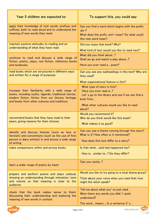| Year 5 children are expected to:                                                                                                                                                                               | To support this, you could say:                                                                                                                                               |
|----------------------------------------------------------------------------------------------------------------------------------------------------------------------------------------------------------------|-------------------------------------------------------------------------------------------------------------------------------------------------------------------------------|
| apply their knowledge of root words, prefixes and<br>suffixes, both to read aloud and to understand the<br>meaning of new words they meet                                                                      | Can you find a word which begins with the prefix<br>$dis-?$<br>What does the prefix anti-mean? So what could<br>this new word mean?                                           |
| maintain positive attitudes to reading and an<br>understanding of what they have read                                                                                                                          | Did you enjoy that book? Why?<br>What kind of text would you like to read next?                                                                                               |
| continue to read and discuss a wide range of<br>fiction, poetry, plays, non-fiction, reference books<br>and textbooks                                                                                          | What did you think about?<br>Shall we go and watch a play about?<br>Have you ever read a poem?                                                                                |
| read books which are structured in different ways<br>and written for a range of purposes                                                                                                                       | Can you see any subheadings in this text? Why are<br>they used?<br>What organisational feature is this?                                                                       |
| increase their familiarity with a wide range of<br>books, including myths, legends, traditional stories,<br>modern fiction, fiction from our literary heritage<br>and books from other cultures and traditions | What type of story is this?<br>Have you ever read a?<br>Let's go to the library and see if we can find a<br>book from<br>What other cultures would you like to read<br>about? |
| recommend books that they have read to their<br>peers, giving reasons for their choices                                                                                                                        | Would you recommend it?<br>Who do you think would like this book?<br>What makes it so good?                                                                                   |
| identify and discuss themes (such as loss or<br>heroism) and conventions (such as the use of first<br>person in diary entries) in and across a wide range<br>of writing                                        | Can you see a theme running through this story?<br>What is it? How often is it mentioned?<br>How does this text differ to a story?                                            |
| make comparisons within and across books                                                                                                                                                                       | Is that what said had happened too?<br>How is similar to? Do they differ?                                                                                                     |
| learn a wider range of poetry by heart                                                                                                                                                                         | Can you recite?                                                                                                                                                               |
| prepare and perform poems and plays outloud,<br>showing an understanding through intonation, tone<br>and volume so that meaning is clear to the<br>audience                                                    | Would you like to try going to a local drama group?<br>Think about your voice when you read that; how<br>might the witch speak?                                               |
| check that the book makes sense to them;<br>discussing their understanding and exploring the<br>meaning of new words in context                                                                                | Tell me about what you' ve just read.<br>Were there any words you didn't quite<br>understand?<br>The word means; In a sentence it' s                                          |



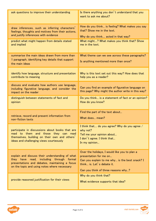| ask questions to improve their understanding                                                                                                                                                  | Is there anything you don't understand that you<br>want to ask me about?                                                                                                                       |
|-----------------------------------------------------------------------------------------------------------------------------------------------------------------------------------------------|------------------------------------------------------------------------------------------------------------------------------------------------------------------------------------------------|
| draw inferences, such as inferring characters'<br>feelings, thoughts and motives from their actions,<br>and justify inferences with evidence                                                  | How do you think is feeling? What makes you say<br>that? Show me in the text.<br>Why do you think acted in that way?                                                                           |
| predict what might happen from details stated<br>and implied                                                                                                                                  | What might? What makes you think that? Show<br>me in the text.                                                                                                                                 |
| summarise the main ideas drawn from more than<br>1 paragraph, identifying key details that support<br>the main ideas                                                                          | What theme can we see across these paragraphs?<br>Is anything mentioned more than once?                                                                                                        |
| identify how language, structure and presentation<br>contribute to meaning                                                                                                                    | Why is this text set out this way? How does that<br>help you as a reader?                                                                                                                      |
| discuss and evaluate how authors use language,<br>including figurative language, and consider the<br>impact on the reader                                                                     | Can you find an example of figurative language on<br>this page? Why might the author write in this way?                                                                                        |
| distinguish between statements of fact and<br>opinion                                                                                                                                         | Do you think is a statement of fact or an opinion?<br>How do you know?                                                                                                                         |
| retrieve, record and present information from<br>non-fiction texts                                                                                                                            | Find the part of the text about<br>What does mean?                                                                                                                                             |
| participate in discussions about books that are<br>read to them and those they can read<br>themselves, building on their own and others'<br>ideas and challenging views courteously           | I think that do you agree? Why do you agree /<br>why not?<br>Tell me your opinion about<br>I don't agree. I think that<br>In my opinion                                                        |
| explain and discuss their understanding of what<br>they have read, including through formal<br>presentations and debates, maintaining a focus<br>on the topic and using notes where necessary | Over the holidays, I would like you to plan a<br>presentation for me on<br>Can you explain to me why is the best snack? I<br>think is. Let's debate it.<br>Can you think of three reasons why? |
| provide reasoned justification for their views                                                                                                                                                | Why do you think that?<br>What evidence supports that idea?                                                                                                                                    |

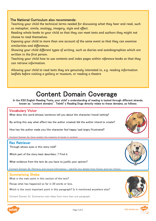## The National Curriculum also recommends:

Teaching your child the technical terms needed for discussing what they hear and read, such as metaphor, simile, analogy, imagery, style and effect.

Reading whole books to your child so that they can meet texts and authors they might not choose to read themselves.

Exposing your child to more than one account of the same event so that they can examine similarities and differences.

Showing your child different types of writing, such as diaries and autobiographies which are written in the first person.

Teaching your child how to use contents and index pages within reference books so that they can retrieve information.

Allowing your child to read texts they are genuinely interested in, e.g. reading information leaflets before visiting a gallery or museum, or reading a theatre

# Content Domain Coverage

In the KS2 English Reading Tests, your child's understanding of reading is tested through different strands, known as 'content domains'. Twinkl's Reading Dogs directly relate to these domains, as follows:

#### Vocabulary Victor

What does this word/phrase/sentence tell you about the character/mood/setting?

By writing this way what effect has the author created/did the author intend to create?

How has the author made you/the character feel happy/sad/angry/frustrated?

Content Domain 2a: Give/explain the meaning of words in context

#### Rex Retriever

Through whose eyes is this story told?

Which part of the story best describes...? Find it.

ı

What evidence from the text do you have to justify your opinion?

Content Domain 2b: Retrieve and record information / identify key details from fiction and non-fiction.

#### Summarising Sheba

What is the main point in this section of the text?

Recap what has happened so far in 20 words or less.

Which is the most important point in this paragraph? Is it mentioned anywhere else?

Content Domain 2c: Summarise main ideas from more than one paragraph.